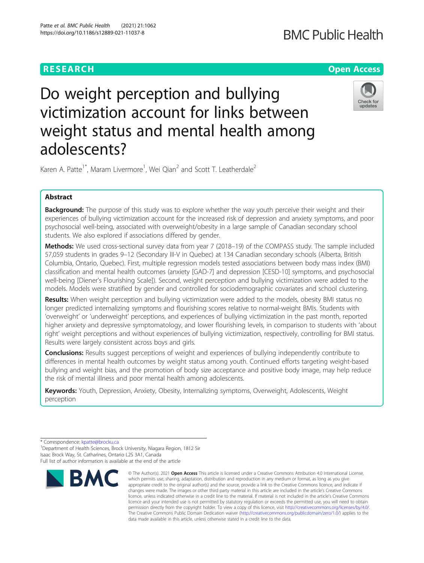# **RESEARCH CHE Open Access**

# **BMC Public Health**

# Do weight perception and bullying victimization account for links between weight status and mental health among adolescents?



Karen A. Patte<sup>1\*</sup>, Maram Livermore<sup>1</sup>, Wei Qian<sup>2</sup> and Scott T. Leatherdale<sup>2</sup>

# Abstract

Background: The purpose of this study was to explore whether the way youth perceive their weight and their experiences of bullying victimization account for the increased risk of depression and anxiety symptoms, and poor psychosocial well-being, associated with overweight/obesity in a large sample of Canadian secondary school students. We also explored if associations differed by gender.

Methods: We used cross-sectional survey data from year 7 (2018–19) of the COMPASS study. The sample included 57,059 students in grades 9–12 (Secondary III-V in Quebec) at 134 Canadian secondary schools (Alberta, British Columbia, Ontario, Quebec). First, multiple regression models tested associations between body mass index (BMI) classification and mental health outcomes (anxiety [GAD-7] and depression [CESD-10] symptoms, and psychosocial well-being [Diener's Flourishing Scale]). Second, weight perception and bullying victimization were added to the models. Models were stratified by gender and controlled for sociodemographic covariates and school clustering.

Results: When weight perception and bullying victimization were added to the models, obesity BMI status no longer predicted internalizing symptoms and flourishing scores relative to normal-weight BMIs. Students with 'overweight' or 'underweight' perceptions, and experiences of bullying victimization in the past month, reported higher anxiety and depressive symptomatology, and lower flourishing levels, in comparison to students with 'about right' weight perceptions and without experiences of bullying victimization, respectively, controlling for BMI status. Results were largely consistent across boys and girls.

**Conclusions:** Results suggest perceptions of weight and experiences of bullying independently contribute to differences in mental health outcomes by weight status among youth. Continued efforts targeting weight-based bullying and weight bias, and the promotion of body size acceptance and positive body image, may help reduce the risk of mental illness and poor mental health among adolescents.

Keywords: Youth, Depression, Anxiety, Obesity, Internalizing symptoms, Overweight, Adolescents, Weight perception

\* Correspondence: [kpatte@brocku.ca](mailto:kpatte@brocku.ca) <sup>1</sup>

<sup>1</sup>Department of Health Sciences, Brock University, Niagara Region, 1812 Sir Isaac Brock Way, St. Catharines, Ontario L2S 3A1, Canada Full list of author information is available at the end of the article



<sup>©</sup> The Author(s), 2021 **Open Access** This article is licensed under a Creative Commons Attribution 4.0 International License, which permits use, sharing, adaptation, distribution and reproduction in any medium or format, as long as you give appropriate credit to the original author(s) and the source, provide a link to the Creative Commons licence, and indicate if changes were made. The images or other third party material in this article are included in the article's Creative Commons licence, unless indicated otherwise in a credit line to the material. If material is not included in the article's Creative Commons licence and your intended use is not permitted by statutory regulation or exceeds the permitted use, you will need to obtain permission directly from the copyright holder. To view a copy of this licence, visit [http://creativecommons.org/licenses/by/4.0/.](http://creativecommons.org/licenses/by/4.0/) The Creative Commons Public Domain Dedication waiver [\(http://creativecommons.org/publicdomain/zero/1.0/](http://creativecommons.org/publicdomain/zero/1.0/)) applies to the data made available in this article, unless otherwise stated in a credit line to the data.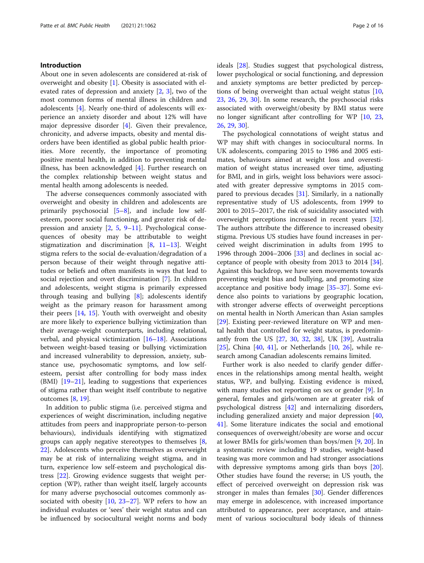# Introduction

About one in seven adolescents are considered at-risk of overweight and obesity [[1](#page-13-0)]. Obesity is associated with elevated rates of depression and anxiety  $[2, 3]$  $[2, 3]$  $[2, 3]$  $[2, 3]$  $[2, 3]$ , two of the most common forms of mental illness in children and adolescents [\[4](#page-13-0)]. Nearly one-third of adolescents will experience an anxiety disorder and about 12% will have major depressive disorder [\[4](#page-13-0)]. Given their prevalence, chronicity, and adverse impacts, obesity and mental disorders have been identified as global public health priorities. More recently, the importance of promoting positive mental health, in addition to preventing mental illness, has been acknowledged [\[4](#page-13-0)]. Further research on the complex relationship between weight status and mental health among adolescents is needed.

The adverse consequences commonly associated with overweight and obesity in children and adolescents are primarily psychosocial [\[5](#page-13-0)–[8\]](#page-13-0), and include low selfesteem, poorer social functioning, and greater risk of depression and anxiety [\[2](#page-13-0), [5,](#page-13-0) [9](#page-13-0)–[11\]](#page-14-0). Psychological consequences of obesity may be attributable to weight stigmatization and discrimination  $[8, 11-13]$  $[8, 11-13]$  $[8, 11-13]$  $[8, 11-13]$  $[8, 11-13]$ . Weight stigma refers to the social de-evaluation/degradation of a person because of their weight through negative attitudes or beliefs and often manifests in ways that lead to social rejection and overt discrimination [[7\]](#page-13-0). In children and adolescents, weight stigma is primarily expressed through teasing and bullying [[8](#page-13-0)]; adolescents identify weight as the primary reason for harassment among their peers [\[14](#page-14-0), [15](#page-14-0)]. Youth with overweight and obesity are more likely to experience bullying victimization than their average-weight counterparts, including relational, verbal, and physical victimization [\[16](#page-14-0)–[18\]](#page-14-0). Associations between weight-based teasing or bullying victimization and increased vulnerability to depression, anxiety, substance use, psychosomatic symptoms, and low selfesteem, persist after controlling for body mass index (BMI) [[19](#page-14-0)–[21\]](#page-14-0), leading to suggestions that experiences of stigma rather than weight itself contribute to negative outcomes [\[8](#page-13-0), [19](#page-14-0)].

In addition to public stigma (i.e. perceived stigma and experiences of weight discrimination, including negative attitudes from peers and inappropriate person-to-person behaviours), individuals identifying with stigmatized groups can apply negative stereotypes to themselves [\[8](#page-13-0), [22\]](#page-14-0). Adolescents who perceive themselves as overweight may be at risk of internalizing weight stigma, and in turn, experience low self-esteem and psychological distress [\[22](#page-14-0)]. Growing evidence suggests that weight perception (WP), rather than weight itself, largely accounts for many adverse psychosocial outcomes commonly associated with obesity [[10,](#page-14-0) [23](#page-14-0)–[27](#page-14-0)]. WP refers to how an individual evaluates or 'sees' their weight status and can be influenced by sociocultural weight norms and body ideals [[28\]](#page-14-0). Studies suggest that psychological distress, lower psychological or social functioning, and depression and anxiety symptoms are better predicted by perceptions of being overweight than actual weight status [[10](#page-14-0), [23,](#page-14-0) [26](#page-14-0), [29,](#page-14-0) [30\]](#page-14-0). In some research, the psychosocial risks associated with overweight/obesity by BMI status were no longer significant after controlling for WP [[10,](#page-14-0) [23](#page-14-0), [26,](#page-14-0) [29](#page-14-0), [30](#page-14-0)].

The psychological connotations of weight status and WP may shift with changes in sociocultural norms. In UK adolescents, comparing 2015 to 1986 and 2005 estimates, behaviours aimed at weight loss and overestimation of weight status increased over time, adjusting for BMI, and in girls, weight loss behaviors were associated with greater depressive symptoms in 2015 compared to previous decades [\[31](#page-14-0)]. Similarly, in a nationally representative study of US adolescents, from 1999 to 2001 to 2015–2017, the risk of suicidality associated with overweight perceptions increased in recent years [\[32](#page-14-0)]. The authors attribute the difference to increased obesity stigma. Previous US studies have found increases in perceived weight discrimination in adults from 1995 to 1996 through  $2004-2006$   $[33]$  $[33]$  and declines in social acceptance of people with obesity from 2013 to 2014  $[34]$  $[34]$ . Against this backdrop, we have seen movements towards preventing weight bias and bullying, and promoting size acceptance and positive body image [\[35](#page-14-0)–[37\]](#page-14-0). Some evidence also points to variations by geographic location, with stronger adverse effects of overweight perceptions on mental health in North American than Asian samples [[29\]](#page-14-0). Existing peer-reviewed literature on WP and mental health that controlled for weight status, is predominantly from the US [\[27,](#page-14-0) [30](#page-14-0), [32](#page-14-0), [38\]](#page-14-0), UK [[39\]](#page-14-0), Australia [[25\]](#page-14-0), China  $[40, 41]$  $[40, 41]$  $[40, 41]$  $[40, 41]$ , or Netherlands  $[10, 26]$  $[10, 26]$  $[10, 26]$  $[10, 26]$ , while research among Canadian adolescents remains limited.

Further work is also needed to clarify gender differences in the relationships among mental health, weight status, WP, and bullying. Existing evidence is mixed, with many studies not reporting on sex or gender [[9](#page-13-0)]. In general, females and girls/women are at greater risk of psychological distress [[42](#page-14-0)] and internalizing disorders, including generalized anxiety and major depression [[40](#page-14-0), [41\]](#page-14-0). Some literature indicates the social and emotional consequences of overweight/obesity are worse and occur at lower BMIs for girls/women than boys/men [[9,](#page-13-0) [20\]](#page-14-0). In a systematic review including 19 studies, weight-based teasing was more common and had stronger associations with depressive symptoms among girls than boys [\[20](#page-14-0)]. Other studies have found the reverse; in US youth, the effect of perceived overweight on depression risk was stronger in males than females [\[30](#page-14-0)]. Gender differences may emerge in adolescence, with increased importance attributed to appearance, peer acceptance, and attainment of various sociocultural body ideals of thinness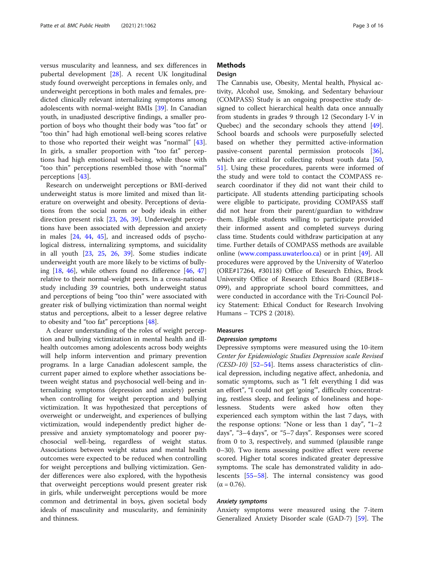versus muscularity and leanness, and sex differences in pubertal development [[28](#page-14-0)]. A recent UK longitudinal study found overweight perceptions in females only, and underweight perceptions in both males and females, predicted clinically relevant internalizing symptoms among adolescents with normal-weight BMIs [[39\]](#page-14-0). In Canadian youth, in unadjusted descriptive findings, a smaller proportion of boys who thought their body was "too fat" or "too thin" had high emotional well-being scores relative to those who reported their weight was "normal" [\[43](#page-14-0)]. In girls, a smaller proportion with "too fat" perceptions had high emotional well-being, while those with "too thin" perceptions resembled those with "normal" perceptions [\[43](#page-14-0)].

Research on underweight perceptions or BMI-derived underweight status is more limited and mixed than literature on overweight and obesity. Perceptions of deviations from the social norm or body ideals in either direction present risk [[23](#page-14-0), [26](#page-14-0), [39\]](#page-14-0). Underweight perceptions have been associated with depression and anxiety in males [[24,](#page-14-0) [44,](#page-14-0) [45](#page-14-0)], and increased odds of psychological distress, internalizing symptoms, and suicidality in all youth [\[23](#page-14-0), [25](#page-14-0), [26](#page-14-0), [39\]](#page-14-0). Some studies indicate underweight youth are more likely to be victims of bullying  $[18, 46]$  $[18, 46]$  $[18, 46]$  $[18, 46]$ , while others found no difference  $[46, 47]$  $[46, 47]$  $[46, 47]$  $[46, 47]$  $[46, 47]$ relative to their normal-weight peers. In a cross-national study including 39 countries, both underweight status and perceptions of being "too thin" were associated with greater risk of bullying victimization than normal weight status and perceptions, albeit to a lesser degree relative to obesity and "too fat" perceptions [[48](#page-14-0)].

A clearer understanding of the roles of weight perception and bullying victimization in mental health and illhealth outcomes among adolescents across body weights will help inform intervention and primary prevention programs. In a large Canadian adolescent sample, the current paper aimed to explore whether associations between weight status and psychosocial well-being and internalizing symptoms (depression and anxiety) persist when controlling for weight perception and bullying victimization. It was hypothesized that perceptions of overweight or underweight, and experiences of bullying victimization, would independently predict higher depressive and anxiety symptomatology and poorer psychosocial well-being, regardless of weight status. Associations between weight status and mental health outcomes were expected to be reduced when controlling for weight perceptions and bullying victimization. Gender differences were also explored, with the hypothesis that overweight perceptions would present greater risk in girls, while underweight perceptions would be more common and detrimental in boys, given societal body ideals of masculinity and muscularity, and femininity and thinness.

# **Methods**

# Design

The Cannabis use, Obesity, Mental health, Physical activity, Alcohol use, Smoking, and Sedentary behaviour (COMPASS) Study is an ongoing prospective study designed to collect hierarchical health data once annually from students in grades 9 through 12 (Secondary I-V in Quebec) and the secondary schools they attend [\[49](#page-14-0)]. School boards and schools were purposefully selected based on whether they permitted active-information passive-consent parental permission protocols [\[36](#page-14-0)], which are critical for collecting robust youth data [[50](#page-14-0), [51\]](#page-15-0). Using these procedures, parents were informed of the study and were told to contact the COMPASS research coordinator if they did not want their child to participate. All students attending participating schools were eligible to participate, providing COMPASS staff did not hear from their parent/guardian to withdraw them. Eligible students willing to participate provided their informed assent and completed surveys during class time. Students could withdraw participation at any time. Further details of COMPASS methods are available online [\(www.compass.uwaterloo.ca\)](http://www.compass.uwaterloo.ca) or in print [\[49](#page-14-0)]. All procedures were approved by the University of Waterloo (ORE#17264, #30118) Office of Research Ethics, Brock University Office of Research Ethics Board (REB#18– 099), and appropriate school board committees, and were conducted in accordance with the Tri-Council Policy Statement: Ethical Conduct for Research Involving Humans – TCPS 2 (2018).

# Measures

Depressive symptoms were measured using the 10-item Center for Epidemiologic Studies Depression scale Revised  $(CESD-10)$  [\[52](#page-15-0)-[54\]](#page-15-0). Items assess characteristics of clinical depression, including negative affect, anhedonia, and somatic symptoms, such as "I felt everything I did was an effort", "I could not get 'going'", difficulty concentrating, restless sleep, and feelings of loneliness and hopelessness. Students were asked how often they experienced each symptom within the last 7 days, with the response options: "None or less than 1 day", "1–2 days", "3–4 days", or "5–7 days". Responses were scored from 0 to 3, respectively, and summed (plausible range 0–30). Two items assessing positive affect were reverse scored. Higher total scores indicated greater depressive symptoms. The scale has demonstrated validity in adolescents [\[55](#page-15-0)–[58\]](#page-15-0). The internal consistency was good  $(α = 0.76)$ .

Anxiety symptoms Anxiety symptoms were measured using the 7-item Generalized Anxiety Disorder scale (GAD-7) [[59](#page-15-0)]. The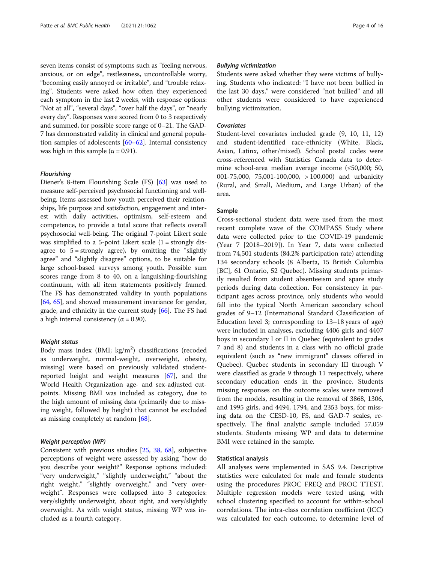seven items consist of symptoms such as "feeling nervous, anxious, or on edge", restlessness, uncontrollable worry, "becoming easily annoyed or irritable", and "trouble relaxing". Students were asked how often they experienced each symptom in the last 2 weeks, with response options: "Not at all", "several days", "over half the days", or "nearly every day". Responses were scored from 0 to 3 respectively and summed, for possible score range of 0–21. The GAD-7 has demonstrated validity in clinical and general population samples of adolescents [\[60](#page-15-0)–[62\]](#page-15-0). Internal consistency was high in this sample ( $\alpha$  = 0.91).

Flourishing Diener's 8-item Flourishing Scale (FS) [[63](#page-15-0)] was used to measure self-perceived psychosocial functioning and wellbeing. Items assessed how youth perceived their relationships, life purpose and satisfaction, engagement and interest with daily activities, optimism, self-esteem and competence, to provide a total score that reflects overall psychosocial well-being. The original 7-point Likert scale was simplified to a 5-point Likert scale  $(1 =$  strongly disagree to  $5 =$  strongly agree), by omitting the "slightly agree" and "slightly disagree" options, to be suitable for large school-based surveys among youth. Possible sum scores range from 8 to 40, on a languishing-flourishing continuum, with all item statements positively framed. The FS has demonstrated validity in youth populations [[64](#page-15-0), [65](#page-15-0)], and showed measurement invariance for gender, grade, and ethnicity in the current study [[66\]](#page-15-0). The FS had a high internal consistency ( $α = 0.90$ ).

nagno chanse<br>Body mass index (BMI; kg/m<sup>2</sup>) classifications (recoded as underweight, normal-weight, overweight, obesity, missing) were based on previously validated studentreported height and weight measures [[67\]](#page-15-0), and the World Health Organization age- and sex-adjusted cutpoints. Missing BMI was included as category, due to the high amount of missing data (primarily due to missing weight, followed by height) that cannot be excluded as missing completely at random [[68](#page-15-0)].

Consistent with previous studies [[25](#page-14-0), [38](#page-14-0), [68](#page-15-0)], subjective perceptions of weight were assessed by asking "how do you describe your weight?" Response options included: "very underweight," "slightly underweight," "about the right weight," "slightly overweight," and "very overweight". Responses were collapsed into 3 categories: very/slightly underweight, about right, and very/slightly overweight. As with weight status, missing WP was included as a fourth category.

Students were asked whether they were victims of bullying. Students who indicated: "I have not been bullied in the last 30 days," were considered "not bullied" and all other students were considered to have experienced bullying victimization.

Student-level covariates included grade (9, 10, 11, 12) and student-identified race-ethnicity (White, Black, Asian, Latinx, other/mixed). School postal codes were cross-referenced with Statistics Canada data to determine school-area median average income (≤50,000; 50, 001-75,000, 75,001-100,000, > 100,000) and urbanicity (Rural, and Small, Medium, and Large Urban) of the area.

### Sample

Cross-sectional student data were used from the most recent complete wave of the COMPASS Study where data were collected prior to the COVID-19 pandemic (Year 7 [2018–2019]). In Year 7, data were collected from 74,501 students (84.2% participation rate) attending 134 secondary schools (8 Alberta, 15 British Columbia [BC], 61 Ontario, 52 Quebec). Missing students primarily resulted from student absenteeism and spare study periods during data collection. For consistency in participant ages across province, only students who would fall into the typical North American secondary school grades of 9–12 (International Standard Classification of Education level 3; corresponding to 13–18 years of age) were included in analyses, excluding 4406 girls and 4407 boys in secondary I or II in Quebec (equivalent to grades 7 and 8) and students in a class with no official grade equivalent (such as "new immigrant" classes offered in Quebec). Quebec students in secondary III through V were classified as grade 9 through 11 respectively, where secondary education ends in the province. Students missing responses on the outcome scales were removed from the models, resulting in the removal of 3868, 1306, and 1995 girls, and 4494, 1794, and 2353 boys, for missing data on the CESD-10, FS, and GAD-7 scales, respectively. The final analytic sample included 57,059 students. Students missing WP and data to determine BMI were retained in the sample.

### Statistical analysis

All analyses were implemented in SAS 9.4. Descriptive statistics were calculated for male and female students using the procedures PROC FREQ and PROC TTEST. Multiple regression models were tested using, with school clustering specified to account for within-school correlations. The intra-class correlation coefficient (ICC) was calculated for each outcome, to determine level of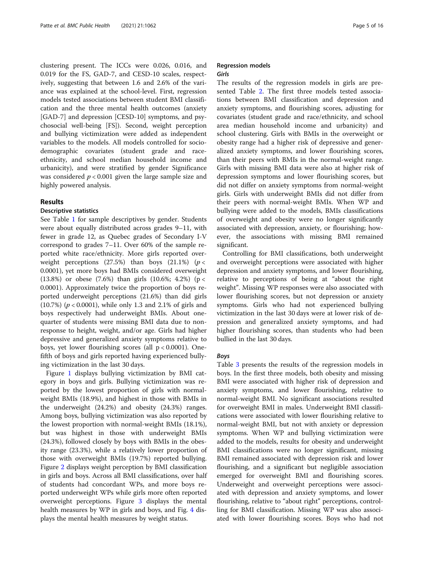clustering present. The ICCs were 0.026, 0.016, and 0.019 for the FS, GAD-7, and CESD-10 scales, respectively, suggesting that between 1.6 and 2.6% of the variance was explained at the school-level. First, regression models tested associations between student BMI classification and the three mental health outcomes (anxiety [GAD-7] and depression [CESD-10] symptoms, and psychosocial well-being [FS]). Second, weight perception and bullying victimization were added as independent variables to the models. All models controlled for sociodemographic covariates (student grade and raceethnicity, and school median household income and urbanicity), and were stratified by gender Significance was considered  $p < 0.001$  given the large sample size and highly powered analysis.

# Results

# Descriptive statistics

See Table [1](#page-5-0) for sample descriptives by gender. Students were about equally distributed across grades 9–11, with fewer in grade 12, as Quebec grades of Secondary I-V correspond to grades 7–11. Over 60% of the sample reported white race/ethnicity. More girls reported overweight perceptions (27.5%) than boys (21.1%) ( $p <$ 0.0001), yet more boys had BMIs considered overweight (13.8%) or obese (7.6%) than girls (10.6%; 4.2%) (p < 0.0001). Approximately twice the proportion of boys reported underweight perceptions (21.6%) than did girls (10.7%) ( $p < 0.0001$ ), while only 1.3 and 2.1% of girls and boys respectively had underweight BMIs. About onequarter of students were missing BMI data due to nonresponse to height, weight, and/or age. Girls had higher depressive and generalized anxiety symptoms relative to boys, yet lower flourishing scores (all  $p < 0.0001$ ). Onefifth of boys and girls reported having experienced bullying victimization in the last 30 days.

Figure [1](#page-6-0) displays bullying victimization by BMI category in boys and girls. Bullying victimization was reported by the lowest proportion of girls with normalweight BMIs (18.9%), and highest in those with BMIs in the underweight (24.2%) and obesity (24.3%) ranges. Among boys, bullying victimization was also reported by the lowest proportion with normal-weight BMIs (18.1%), but was highest in those with underweight BMIs (24.3%), followed closely by boys with BMIs in the obesity range (23.3%), while a relatively lower proportion of those with overweight BMIs (19.7%) reported bullying. Figure [2](#page-6-0) displays weight perception by BMI classification in girls and boys. Across all BMI classifications, over half of students had concordant WPs, and more boys reported underweight WPs while girls more often reported overweight perceptions. Figure [3](#page-7-0) displays the mental health measures by WP in girls and boys, and Fig. [4](#page-8-0) displays the mental health measures by weight status.

# Regression models Girls

The results of the regression models in girls are presented Table [2.](#page-9-0) The first three models tested associations between BMI classification and depression and anxiety symptoms, and flourishing scores, adjusting for covariates (student grade and race/ethnicity, and school area median household income and urbanicity) and school clustering. Girls with BMIs in the overweight or obesity range had a higher risk of depressive and generalized anxiety symptoms, and lower flourishing scores, than their peers with BMIs in the normal-weight range. Girls with missing BMI data were also at higher risk of depression symptoms and lower flourishing scores, but did not differ on anxiety symptoms from normal-weight girls. Girls with underweight BMIs did not differ from their peers with normal-weight BMIs. When WP and bullying were added to the models, BMIs classifications of overweight and obesity were no longer significantly associated with depression, anxiety, or flourishing; however, the associations with missing BMI remained significant.

Controlling for BMI classifications, both underweight and overweight perceptions were associated with higher depression and anxiety symptoms, and lower flourishing, relative to perceptions of being at "about the right weight". Missing WP responses were also associated with lower flourishing scores, but not depression or anxiety symptoms. Girls who had not experienced bullying victimization in the last 30 days were at lower risk of depression and generalized anxiety symptoms, and had higher flourishing scores, than students who had been bullied in the last 30 days.

Table [3](#page-10-0) presents the results of the regression models in boys. In the first three models, both obesity and missing BMI were associated with higher risk of depression and anxiety symptoms, and lower flourishing, relative to normal-weight BMI. No significant associations resulted for overweight BMI in males. Underweight BMI classifications were associated with lower flourishing relative to normal-weight BMI, but not with anxiety or depression symptoms. When WP and bullying victimization were added to the models, results for obesity and underweight BMI classifications were no longer significant, missing BMI remained associated with depression risk and lower flourishing, and a significant but negligible association emerged for overweight BMI and flourishing scores. Underweight and overweight perceptions were associated with depression and anxiety symptoms, and lower flourishing, relative to "about right" perceptions, controlling for BMI classification. Missing WP was also associated with lower flourishing scores. Boys who had not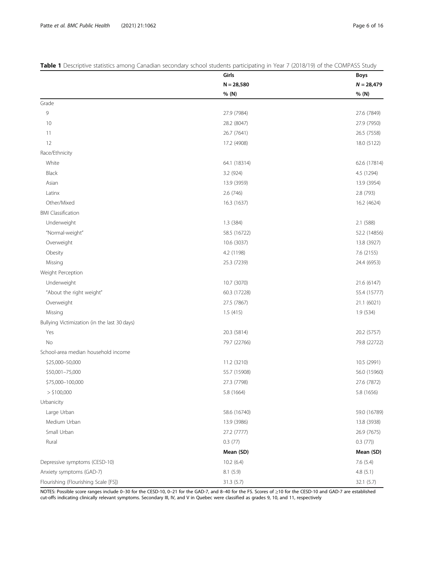|                                              | Girls        | Boys         |
|----------------------------------------------|--------------|--------------|
|                                              | $N = 28,580$ | $N = 28,479$ |
|                                              | % (N)        | % (N)        |
| Grade                                        |              |              |
| 9                                            | 27.9 (7984)  | 27.6 (7849)  |
| 10                                           | 28.2 (8047)  | 27.9 (7950)  |
| 11                                           | 26.7 (7641)  | 26.5 (7558)  |
| 12                                           | 17.2 (4908)  | 18.0 (5122)  |
| Race/Ethnicity                               |              |              |
| White                                        | 64.1 (18314) | 62.6 (17814) |
| Black                                        | 3.2 (924)    | 4.5 (1294)   |
| Asian                                        | 13.9 (3959)  | 13.9 (3954)  |
| Latinx                                       | 2.6 (746)    | 2.8 (793)    |
| Other/Mixed                                  | 16.3 (1637)  | 16.2 (4624)  |
| <b>BMI</b> Classification                    |              |              |
| Underweight                                  | 1.3 (384)    | 2.1 (588)    |
| "Normal-weight"                              | 58.5 (16722) | 52.2 (14856) |
| Overweight                                   | 10.6 (3037)  | 13.8 (3927)  |
| Obesity                                      | 4.2 (1198)   | 7.6 (2155)   |
| Missing                                      | 25.3 (7239)  | 24.4 (6953)  |
| Weight Perception                            |              |              |
| Underweight                                  | 10.7 (3070)  | 21.6 (6147)  |
| "About the right weight"                     | 60.3 (17228) | 55.4 (15777) |
| Overweight                                   | 27.5 (7867)  | 21.1 (6021)  |
| Missing                                      | 1.5(415)     | 1.9 (534)    |
| Bullying Victimization (in the last 30 days) |              |              |
| Yes                                          | 20.3 (5814)  | 20.2 (5757)  |
| No                                           | 79.7 (22766) | 79.8 (22722) |
| School-area median household income          |              |              |
| \$25,000-50,000                              | 11.2 (3210)  | 10.5 (2991)  |
| \$50,001-75,000                              | 55.7 (15908) | 56.0 (15960) |
| \$75,000-100,000                             | 27.3 (7798)  | 27.6 (7872)  |
| $>$ \$100,000                                | 5.8 (1664)   | 5.8 (1656)   |
| Urbanicity                                   |              |              |
| Large Urban                                  | 58.6 (16740) | 59.0 (16789) |
| Medium Urban                                 | 13.9 (3986)  | 13.8 (3938)  |
| Small Urban                                  | 27.2 (7777)  | 26.9 (7675)  |
| Rural                                        | 0.3(77)      | 0.3(77)      |
|                                              | Mean (SD)    | Mean (SD)    |
| Depressive symptoms (CESD-10)                | 10.2(6.4)    | 7.6(5.4)     |
| Anxiety symptoms (GAD-7)                     | 8.1 (5.9)    | 4.8(5.1)     |
| Flourishing (Flourishing Scale [FS])         | 31.3 (5.7)   | 32.1 (5.7)   |

<span id="page-5-0"></span>Table 1 Descriptive statistics among Canadian secondary school students participating in Year 7 (2018/19) of the COMPASS Study

NOTES: Possible score ranges include 0–30 for the CESD-10, 0–21 for the GAD-7, and 8–40 for the FS. Scores of ≥10 for the CESD-10 and GAD-7 are established cut-offs indicating clinically relevant symptoms. Secondary III, IV, and V in Quebec were classified as grades 9, 10, and 11, respectively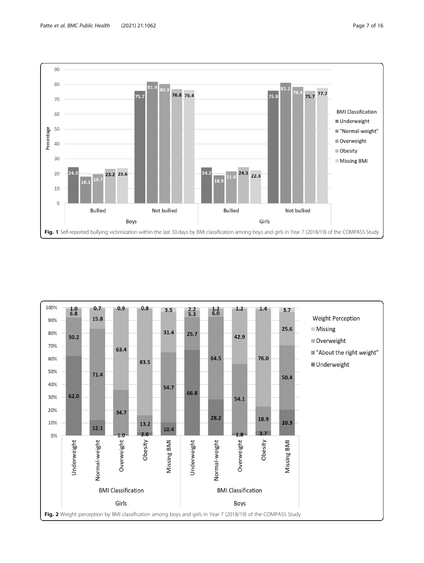<span id="page-6-0"></span>

Fig. 1 Self-reported bullying victimization within the last 30 days by BMI classification among boys and girls in Year 7 (2018/19) of the COMPASS Study

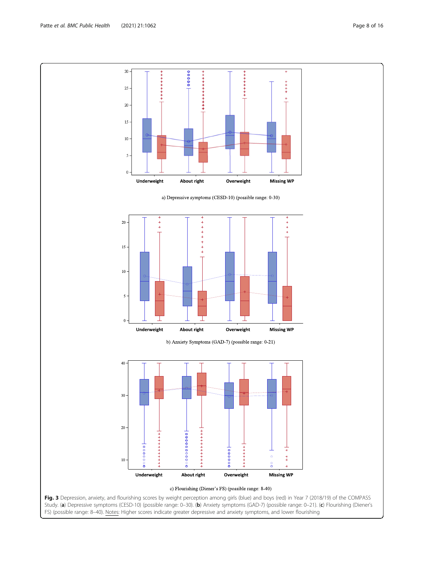<span id="page-7-0"></span>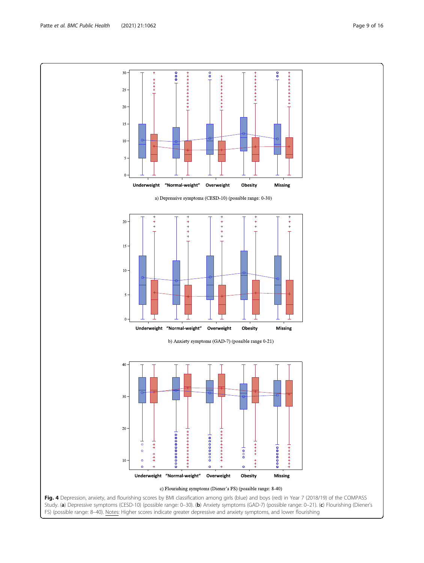<span id="page-8-0"></span>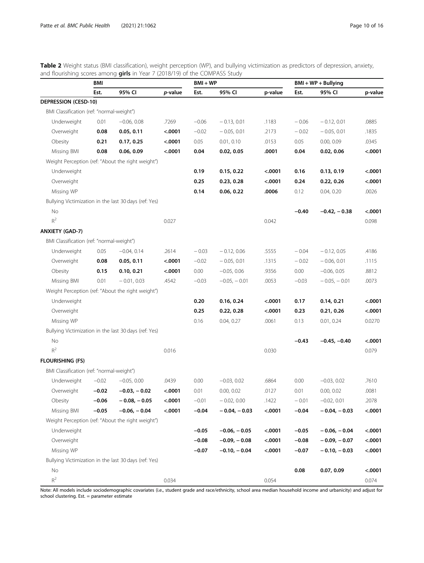<span id="page-9-0"></span>Table 2 Weight status (BMI classification), weight perception (WP), and bullying victimization as predictors of depression, anxiety, and flourishing scores among girls in Year 7 (2018/19) of the COMPASS Study

|                                           | BMI     |                                                       |            | $BMI + WP$ |                |         | $BMI + WP + Bullying$ |                |         |
|-------------------------------------------|---------|-------------------------------------------------------|------------|------------|----------------|---------|-----------------------|----------------|---------|
|                                           | Est.    | 95% CI                                                | $p$ -value | Est.       | 95% CI         | p-value | Est.                  | 95% CI         | p-value |
| <b>DEPRESSION (CESD-10)</b>               |         |                                                       |            |            |                |         |                       |                |         |
| BMI Classification (ref: "normal-weight") |         |                                                       |            |            |                |         |                       |                |         |
| Underweight                               | 0.01    | $-0.06, 0.08$                                         | .7269      | $-0.06$    | $-0.13, 0.01$  | .1183   | $-0.06$               | $-0.12, 0.01$  | .0885   |
| Overweight                                | 0.08    | 0.05, 0.11                                            | < .0001    | $-0.02$    | $-0.05, 0.01$  | .2173   | $-0.02$               | $-0.05, 0.01$  | .1835   |
| Obesity                                   | 0.21    | 0.17, 0.25                                            | < .0001    | 0.05       | 0.01, 0.10     | .0153   | 0.05                  | 0.00, 0.09     | .0345   |
| Missing BMI                               | 0.08    | 0.06, 0.09                                            | < .0001    | 0.04       | 0.02, 0.05     | .0001   | 0.04                  | 0.02, 0.06     | < .0001 |
|                                           |         | Weight Perception (ref: "About the right weight")     |            |            |                |         |                       |                |         |
| Underweight                               |         |                                                       |            | 0.19       | 0.15, 0.22     | < .0001 | 0.16                  | 0.13, 0.19     | < .0001 |
| Overweight                                |         |                                                       |            | 0.25       | 0.23, 0.28     | < .0001 | 0.24                  | 0.22, 0.26     | < .0001 |
| Missing WP                                |         |                                                       |            | 0.14       | 0.06, 0.22     | .0006   | 0.12                  | 0.04, 0.20     | .0026   |
|                                           |         | Bullying Victimization in the last 30 days (ref: Yes) |            |            |                |         |                       |                |         |
| No                                        |         |                                                       |            |            |                |         | $-0.40$               | $-0.42, -0.38$ | < .0001 |
| $R^2$                                     |         |                                                       | 0.027      |            |                | 0.042   |                       |                | 0.098   |
| <b>ANXIETY (GAD-7)</b>                    |         |                                                       |            |            |                |         |                       |                |         |
| BMI Classification (ref: "normal-weight") |         |                                                       |            |            |                |         |                       |                |         |
| Underweight                               | 0.05    | $-0.04, 0.14$                                         | .2614      | $-0.03$    | $-0.12, 0.06$  | .5555   | $-0.04$               | $-0.12, 0.05$  | .4186   |
| Overweight                                | 0.08    | 0.05, 0.11                                            | < .0001    | $-0.02$    | $-0.05, 0.01$  | .1315   | $-0.02$               | $-0.06, 0.01$  | .1115   |
| Obesity                                   | 0.15    | 0.10, 0.21                                            | < .0001    | 0.00       | $-0.05, 0.06$  | .9356   | 0.00                  | $-0.06, 0.05$  | .8812   |
| Missing BMI                               | 0.01    | $-0.01, 0.03$                                         | .4542      | $-0.03$    | $-0.05, -0.01$ | .0053   | $-0.03$               | $-0.05, -0.01$ | .0073   |
|                                           |         | Weight Perception (ref: "About the right weight")     |            |            |                |         |                       |                |         |
| Underweight                               |         |                                                       |            | 0.20       | 0.16, 0.24     | < .0001 | 0.17                  | 0.14, 0.21     | < .0001 |
| Overweight                                |         |                                                       |            | 0.25       | 0.22, 0.28     | < .0001 | 0.23                  | 0.21, 0.26     | < .0001 |
| Missing WP                                |         |                                                       |            | 0.16       | 0.04, 0.27     | .0061   | 0.13                  | 0.01, 0.24     | 0.0270  |
|                                           |         | Bullying Victimization in the last 30 days (ref: Yes) |            |            |                |         |                       |                |         |
| No                                        |         |                                                       |            |            |                |         | $-0.43$               | $-0.45, -0.40$ | < .0001 |
| $R^2$                                     |         |                                                       | 0.016      |            |                | 0.030   |                       |                | 0.079   |
| <b>FLOURISHING (FS)</b>                   |         |                                                       |            |            |                |         |                       |                |         |
| BMI Classification (ref: "normal-weight") |         |                                                       |            |            |                |         |                       |                |         |
| Underweight                               | $-0.02$ | $-0.05, 0.00$                                         | .0439      | 0.00       | $-0.03, 0.02$  | .6864   | 0.00                  | $-0.03, 0.02$  | .7610   |
| Overweight                                | $-0.02$ | $-0.03, -0.02$                                        | < .0001    | 0.01       | 0.00, 0.02     | .0127   | 0.01                  | 0.00, 0.02     | .0081   |
| Obesity                                   | $-0.06$ | $-0.08, -0.05$                                        | < .0001    | $-0.01$    | $-0.02, 0.00$  | .1422   | $-0.01$               | $-0.02, 0.01$  | .2078   |
| Missing BMI                               | $-0.05$ | $-0.06, -0.04$                                        | < .0001    | $-0.04$    | $-0.04, -0.03$ | < .0001 | $-0.04$               | $-0.04, -0.03$ | < .0001 |
|                                           |         | Weight Perception (ref: "About the right weight")     |            |            |                |         |                       |                |         |
| Underweight                               |         |                                                       |            | $-0.05$    | $-0.06, -0.05$ | < .0001 | $-0.05$               | $-0.06, -0.04$ | < .0001 |
| Overweight                                |         |                                                       |            | $-0.08$    | $-0.09, -0.08$ | < .0001 | $-0.08$               | $-0.09, -0.07$ | < .0001 |
| Missing WP                                |         |                                                       |            | $-0.07$    | $-0.10, -0.04$ | < .0001 | $-0.07$               | $-0.10, -0.03$ | < .0001 |
|                                           |         | Bullying Victimization in the last 30 days (ref: Yes) |            |            |                |         |                       |                |         |
| No                                        |         |                                                       |            |            |                |         | 0.08                  | 0.07, 0.09     | < .0001 |
| $\mathsf{R}^2$                            |         |                                                       | 0.034      |            |                | 0.054   |                       |                | 0.074   |

Note: All models include sociodemographic covariates (i.e., student grade and race/ethnicity, school area median household income and urbanicity) and adjust for school clustering. Est. = parameter estimate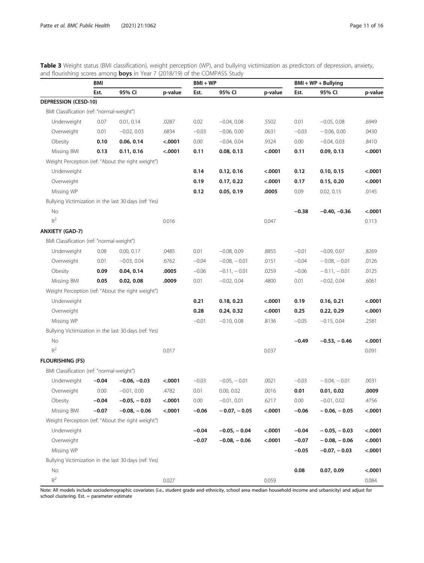<span id="page-10-0"></span>Table 3 Weight status (BMI classification), weight perception (WP), and bullying victimization as predictors of depression, anxiety, and flourishing scores among **boys** in Year 7 (2018/19) of the COMPASS Study

|                                           | BMI     |                                                       |         | $BMI + WP$ |                |         | $BMI + WP + Bullying$ |                |         |
|-------------------------------------------|---------|-------------------------------------------------------|---------|------------|----------------|---------|-----------------------|----------------|---------|
|                                           | Est.    | 95% CI                                                | p-value | Est.       | 95% CI         | p-value | Est.                  | 95% CI         | p-value |
| <b>DEPRESSION (CESD-10)</b>               |         |                                                       |         |            |                |         |                       |                |         |
| BMI Classification (ref: "normal-weight") |         |                                                       |         |            |                |         |                       |                |         |
| Underweight                               | 0.07    | 0.01, 0.14                                            | .0287   | 0.02       | $-0.04, 0.08$  | .5502   | 0.01                  | $-0.05, 0.08$  | .6949   |
| Overweight                                | 0.01    | $-0.02, 0.03$                                         | .6834   | $-0.03$    | $-0.06, 0.00$  | .0631   | $-0.03$               | $-0.06, 0.00$  | .0430   |
| Obesity                                   | 0.10    | 0.06, 0.14                                            | < .0001 | 0.00       | $-0.04, 0.04$  | .9324   | 0.00                  | $-0.04, 0.03$  | .8410   |
| Missing BMI                               | 0.13    | 0.11, 0.16                                            | < .0001 | 0.11       | 0.08, 0.13     | < .0001 | 0.11                  | 0.09, 0.13     | < .0001 |
|                                           |         | Weight Perception (ref: "About the right weight")     |         |            |                |         |                       |                |         |
| Underweight                               |         |                                                       |         | 0.14       | 0.12, 0.16     | < .0001 | 0.12                  | 0.10, 0.15     | < .0001 |
| Overweight                                |         |                                                       |         | 0.19       | 0.17, 0.22     | < .0001 | 0.17                  | 0.15, 0.20     | < .0001 |
| Missing WP                                |         |                                                       |         | 0.12       | 0.05, 0.19     | .0005   | 0.09                  | 0.02, 0.15     | .0145   |
|                                           |         | Bullying Victimization in the last 30 days (ref: Yes) |         |            |                |         |                       |                |         |
| No                                        |         |                                                       |         |            |                |         | $-0.38$               | $-0.40, -0.36$ | < .0001 |
| $\mathsf{R}^2$                            |         |                                                       | 0.016   |            |                | 0.047   |                       |                | 0.113   |
| <b>ANXIETY (GAD-7)</b>                    |         |                                                       |         |            |                |         |                       |                |         |
| BMI Classification (ref: "normal-weight") |         |                                                       |         |            |                |         |                       |                |         |
| Underweight                               | 0.08    | 0.00, 0.17                                            | .0485   | 0.01       | $-0.08, 0.09$  | .8855   | $-0.01$               | $-0.09, 0.07$  | .8269   |
| Overweight                                | 0.01    | $-0.03, 0.04$                                         | .6762   | $-0.04$    | $-0.08, -0.01$ | .0151   | $-0.04$               | $-0.08, -0.01$ | .0126   |
| Obesity                                   | 0.09    | 0.04, 0.14                                            | .0005   | $-0.06$    | $-0.11, -0.01$ | .0259   | $-0.06$               | $-0.11, -0.01$ | .0125   |
| Missing BMI                               | 0.05    | 0.02, 0.08                                            | .0009   | 0.01       | $-0.02, 0.04$  | .4800   | 0.01                  | $-0.02, 0.04$  | .6061   |
|                                           |         | Weight Perception (ref: "About the right weight")     |         |            |                |         |                       |                |         |
| Underweight                               |         |                                                       |         | 0.21       | 0.18, 0.23     | < .0001 | 0.19                  | 0.16, 0.21     | < .0001 |
| Overweight                                |         |                                                       |         | 0.28       | 0.24, 0.32     | < .0001 | 0.25                  | 0.22, 0.29     | < .0001 |
| Missing WP                                |         |                                                       |         | $-0.01$    | $-0.10, 0.08$  | .8136   | $-0.05$               | $-0.15, 0.04$  | .2581   |
|                                           |         | Bullying Victimization in the last 30 days (ref: Yes) |         |            |                |         |                       |                |         |
| No                                        |         |                                                       |         |            |                |         | $-0.49$               | $-0.53, -0.46$ | < .0001 |
| $R^2$                                     |         |                                                       | 0.017   |            |                | 0.037   |                       |                | 0.091   |
| <b>FLOURISHING (FS)</b>                   |         |                                                       |         |            |                |         |                       |                |         |
| BMI Classification (ref: "normal-weight") |         |                                                       |         |            |                |         |                       |                |         |
| Underweight                               | $-0.04$ | $-0.06, -0.03$                                        | < .0001 | $-0.03$    | $-0.05, -0.01$ | .0021   | $-0.03$               | $-0.04, -0.01$ | .0031   |
| Overweight                                | 0.00    | $-0.01, 0.00$                                         | .4782   | 0.01       | 0.00, 0.02     | .0016   | 0.01                  | 0.01, 0.02     | .0009   |
| Obesity                                   | $-0.04$ | $-0.05, -0.03$                                        | < .0001 | 0.00       | $-0.01, 0.01$  | .6217   | 0.00                  | $-0.01, 0.02$  | .4756   |
| Missing BMI                               | $-0.07$ | $-0.08, -0.06$                                        | < .0001 | $-0.06$    | $-0.07, -0.05$ | < .0001 | $-0.06$               | $-0.06, -0.05$ | < .0001 |
|                                           |         | Weight Perception (ref: "About the right weight")     |         |            |                |         |                       |                |         |
| Underweight                               |         |                                                       |         | $-0.04$    | $-0.05, -0.04$ | < .0001 | $-0.04$               | $-0.05, -0.03$ | < .0001 |
| Overweight                                |         |                                                       |         | $-0.07$    | $-0.08, -0.06$ | < .0001 | $-0.07$               | $-0.08, -0.06$ | < .0001 |
| Missing WP                                |         |                                                       |         |            |                |         | $-0.05$               | $-0.07, -0.03$ | < .0001 |
|                                           |         | Bullying Victimization in the last 30 days (ref: Yes) |         |            |                |         |                       |                |         |
| No                                        |         |                                                       |         |            |                |         | 0.08                  | 0.07, 0.09     | < .0001 |
| $\mathsf{R}^2$                            |         |                                                       | 0.027   |            |                | 0.059   |                       |                | 0.084   |

Note: All models include sociodemographic covariates (i.e., student grade and ethnicity, school area median household income and urbanicity) and adjust for school clustering. Est. = parameter estimate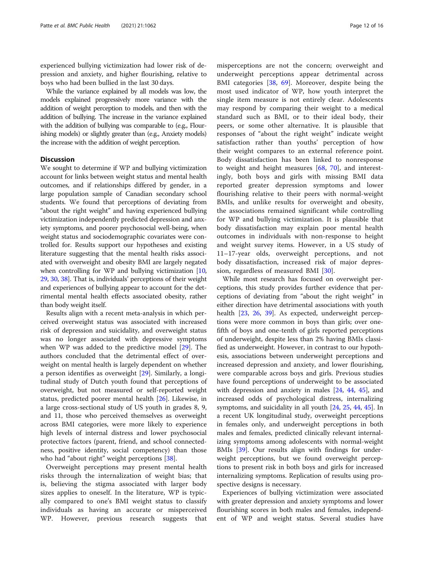experienced bullying victimization had lower risk of depression and anxiety, and higher flourishing, relative to boys who had been bullied in the last 30 days.

While the variance explained by all models was low, the models explained progressively more variance with the addition of weight perception to models, and then with the addition of bullying. The increase in the variance explained with the addition of bullying was comparable to (e.g., Flourishing models) or slightly greater than (e.g., Anxiety models) the increase with the addition of weight perception.

# **Discussion**

We sought to determine if WP and bullying victimization account for links between weight status and mental health outcomes, and if relationships differed by gender, in a large population sample of Canadian secondary school students. We found that perceptions of deviating from "about the right weight" and having experienced bullying victimization independently predicted depression and anxiety symptoms, and poorer psychosocial well-being, when weight status and sociodemographic covariates were controlled for. Results support our hypotheses and existing literature suggesting that the mental health risks associated with overweight and obesity BMI are largely negated when controlling for WP and bullying victimization [[10](#page-14-0), [29](#page-14-0), [30,](#page-14-0) [38](#page-14-0)]. That is, individuals' perceptions of their weight and experiences of bullying appear to account for the detrimental mental health effects associated obesity, rather than body weight itself.

Results align with a recent meta-analysis in which perceived overweight status was associated with increased risk of depression and suicidality, and overweight status was no longer associated with depressive symptoms when WP was added to the predictive model [\[29\]](#page-14-0). The authors concluded that the detrimental effect of overweight on mental health is largely dependent on whether a person identifies as overweight [[29\]](#page-14-0). Similarly, a longitudinal study of Dutch youth found that perceptions of overweight, but not measured or self-reported weight status, predicted poorer mental health [[26\]](#page-14-0). Likewise, in a large cross-sectional study of US youth in grades 8, 9, and 11, those who perceived themselves as overweight across BMI categories, were more likely to experience high levels of internal distress and lower psychosocial protective factors (parent, friend, and school connectedness, positive identity, social competency) than those who had "about right" weight perceptions [[38\]](#page-14-0).

Overweight perceptions may present mental health risks through the internalization of weight bias; that is, believing the stigma associated with larger body sizes applies to oneself. In the literature, WP is typically compared to one's BMI weight status to classify individuals as having an accurate or misperceived WP. However, previous research suggests that

misperceptions are not the concern; overweight and underweight perceptions appear detrimental across BMI categories [[38,](#page-14-0) [69](#page-15-0)]. Moreover, despite being the most used indicator of WP, how youth interpret the single item measure is not entirely clear. Adolescents may respond by comparing their weight to a medical standard such as BMI, or to their ideal body, their peers, or some other alternative. It is plausible that responses of "about the right weight" indicate weight satisfaction rather than youths' perception of how their weight compares to an external reference point. Body dissatisfaction has been linked to nonresponse to weight and height measures [[68,](#page-15-0) [70\]](#page-15-0), and interestingly, both boys and girls with missing BMI data reported greater depression symptoms and lower flourishing relative to their peers with normal-weight BMIs, and unlike results for overweight and obesity, the associations remained significant while controlling for WP and bullying victimization. It is plausible that body dissatisfaction may explain poor mental health outcomes in individuals with non-response to height and weight survey items. However, in a US study of 11–17-year olds, overweight perceptions, and not body dissatisfaction, increased risk of major depression, regardless of measured BMI [\[30](#page-14-0)].

While most research has focused on overweight perceptions, this study provides further evidence that perceptions of deviating from "about the right weight" in either direction have detrimental associations with youth health [\[23,](#page-14-0) [26](#page-14-0), [39](#page-14-0)]. As expected, underweight perceptions were more common in boys than girls; over onefifth of boys and one-tenth of girls reported perceptions of underweight, despite less than 2% having BMIs classified as underweight. However, in contrast to our hypothesis, associations between underweight perceptions and increased depression and anxiety, and lower flourishing, were comparable across boys and girls. Previous studies have found perceptions of underweight to be associated with depression and anxiety in males [\[24](#page-14-0), [44](#page-14-0), [45\]](#page-14-0), and increased odds of psychological distress, internalizing symptoms, and suicidality in all youth [[24,](#page-14-0) [25,](#page-14-0) [44,](#page-14-0) [45\]](#page-14-0). In a recent UK longitudinal study, overweight perceptions in females only, and underweight perceptions in both males and females, predicted clinically relevant internalizing symptoms among adolescents with normal-weight BMIs [[39\]](#page-14-0). Our results align with findings for underweight perceptions, but we found overweight perceptions to present risk in both boys and girls for increased internalizing symptoms. Replication of results using prospective designs is necessary.

Experiences of bullying victimization were associated with greater depression and anxiety symptoms and lower flourishing scores in both males and females, independent of WP and weight status. Several studies have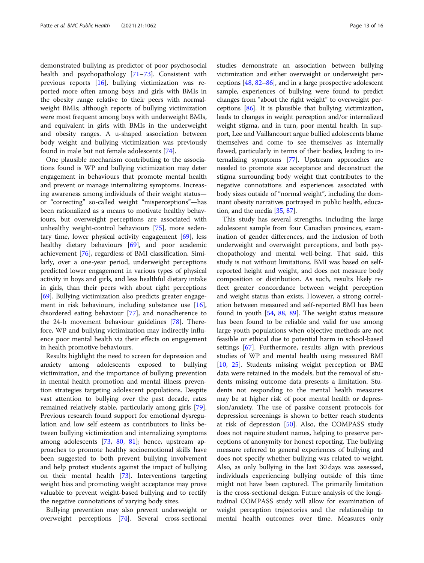demonstrated bullying as predictor of poor psychosocial health and psychopathology [\[71](#page-15-0)–[73\]](#page-15-0). Consistent with previous reports [[16\]](#page-14-0), bullying victimization was reported more often among boys and girls with BMIs in the obesity range relative to their peers with normalweight BMIs; although reports of bullying victimization were most frequent among boys with underweight BMIs, and equivalent in girls with BMIs in the underweight and obesity ranges. A u-shaped association between body weight and bullying victimization was previously found in male but not female adolescents [[74](#page-15-0)].

One plausible mechanism contributing to the associations found is WP and bullying victimization may deter engagement in behaviours that promote mental health and prevent or manage internalizing symptoms. Increasing awareness among individuals of their weight status or "correcting" so-called weight "misperceptions"—has been rationalized as a means to motivate healthy behaviours, but overweight perceptions are associated with unhealthy weight-control behaviours [\[75\]](#page-15-0), more sedentary time, lower physical activity engagement [\[69](#page-15-0)], less healthy dietary behaviours [\[69](#page-15-0)], and poor academic achievement [[76](#page-15-0)], regardless of BMI classification. Similarly, over a one-year period, underweight perceptions predicted lower engagement in various types of physical activity in boys and girls, and less healthful dietary intake in girls, than their peers with about right perceptions [[69\]](#page-15-0). Bullying victimization also predicts greater engagement in risk behaviours, including substance use [\[16](#page-14-0)], disordered eating behaviour [\[77](#page-15-0)], and nonadherence to the 24-h movement behaviour guidelines [\[78](#page-15-0)]. Therefore, WP and bullying victimization may indirectly influence poor mental health via their effects on engagement in health promotive behaviours.

Results highlight the need to screen for depression and anxiety among adolescents exposed to bullying victimization, and the importance of bullying prevention in mental health promotion and mental illness prevention strategies targeting adolescent populations. Despite vast attention to bullying over the past decade, rates remained relatively stable, particularly among girls [\[79](#page-15-0)]. Previous research found support for emotional dysregulation and low self esteem as contributors to links between bullying victimization and internalizing symptoms among adolescents [[73,](#page-15-0) [80](#page-15-0), [81\]](#page-15-0); hence, upstream approaches to promote healthy socioemotional skills have been suggested to both prevent bullying involvement and help protect students against the impact of bullying on their mental health [[73\]](#page-15-0). Interventions targeting weight bias and promoting weight acceptance may prove valuable to prevent weight-based bullying and to rectify the negative connotations of varying body sizes.

Bullying prevention may also prevent underweight or overweight perceptions [\[74\]](#page-15-0). Several cross-sectional studies demonstrate an association between bullying victimization and either overweight or underweight perceptions [[48](#page-14-0), [82](#page-15-0)–[86](#page-15-0)], and in a large prospective adolescent sample, experiences of bullying were found to predict changes from "about the right weight" to overweight perceptions [\[86\]](#page-15-0). It is plausible that bullying victimization, leads to changes in weight perception and/or internalized weight stigma, and in turn, poor mental health. In support, Lee and Vaillancourt argue bullied adolescents blame themselves and come to see themselves as internally flawed, particularly in terms of their bodies, leading to internalizing symptoms [[77](#page-15-0)]. Upstream approaches are needed to promote size acceptance and deconstruct the stigma surrounding body weight that contributes to the negative connotations and experiences associated with body sizes outside of "normal weight", including the dominant obesity narratives portrayed in public health, education, and the media [\[35,](#page-14-0) [87\]](#page-15-0).

This study has several strengths, including the large adolescent sample from four Canadian provinces, examination of gender differences, and the inclusion of both underweight and overweight perceptions, and both psychopathology and mental well-being. That said, this study is not without limitations. BMI was based on selfreported height and weight, and does not measure body composition or distribution. As such, results likely reflect greater concordance between weight perception and weight status than exists. However, a strong correlation between measured and self-reported BMI has been found in youth [[54,](#page-15-0) [88,](#page-15-0) [89\]](#page-15-0). The weight status measure has been found to be reliable and valid for use among large youth populations when objective methods are not feasible or ethical due to potential harm in school-based settings [\[67\]](#page-15-0). Furthermore, results align with previous studies of WP and mental health using measured BMI [[10,](#page-14-0) [25](#page-14-0)]. Students missing weight perception or BMI data were retained in the models, but the removal of students missing outcome data presents a limitation. Students not responding to the mental health measures may be at higher risk of poor mental health or depression/anxiety. The use of passive consent protocols for depression screenings is shown to better reach students at risk of depression [\[50\]](#page-14-0). Also, the COMPASS study does not require student names, helping to preserve perceptions of anonymity for honest reporting. The bullying measure referred to general experiences of bullying and does not specify whether bullying was related to weight. Also, as only bullying in the last 30 days was assessed, individuals experiencing bullying outside of this time might not have been captured. The primarily limitation is the cross-sectional design. Future analysis of the longitudinal COMPASS study will allow for examination of weight perception trajectories and the relationship to mental health outcomes over time. Measures only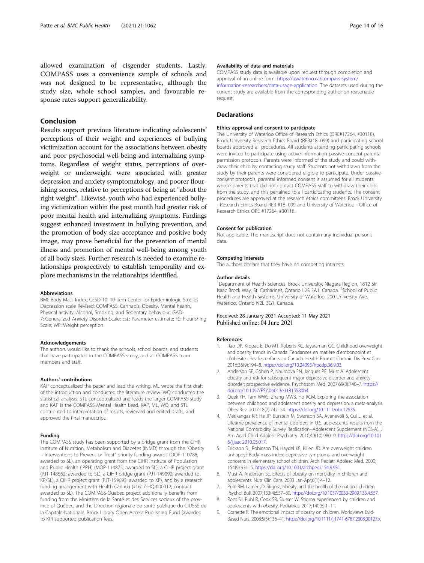<span id="page-13-0"></span>allowed examination of cisgender students. Lastly, COMPASS uses a convenience sample of schools and was not designed to be representative, although the study size, whole school samples, and favourable response rates support generalizability.

# Conclusion

Results support previous literature indicating adolescents' perceptions of their weight and experiences of bullying victimization account for the associations between obesity and poor psychosocial well-being and internalizing symptoms. Regardless of weight status, perceptions of overweight or underweight were associated with greater depression and anxiety symptomatology, and poorer flourishing scores, relative to perceptions of being at "about the right weight". Likewise, youth who had experienced bullying victimization within the past month had greater risk of poor mental health and internalizing symptoms. Findings suggest enhanced investment in bullying prevention, and the promotion of body size acceptance and positive body image, may prove beneficial for the prevention of mental illness and promotion of mental well-being among youth of all body sizes. Further research is needed to examine relationships prospectively to establish temporality and explore mechanisms in the relationships identified.

### Abbreviations

BMI: Body Mass Index; CESD-10: 10-item Center for Epidemiologic Studies Depression scale Revised; COMPASS: Cannabis, Obesity, Mental health, Physical activity, Alcohol, Smoking, and Sedentary behaviour; GAD-7: Generalized Anxiety Disorder Scale; Est.: Parameter estimate; FS: Flourishing Scale; WP: Weight perception

### Acknowledgements

The authors would like to thank the schools, school boards, and students that have participated in the COMPASS study, and all COMPASS team members and staff.

### Authors' contributions

KAP conceptualized the paper and lead the writing. ML wrote the first draft of the introduction and conducted the literature review. WQ conducted the statistical analysis. STL conceptualized and leads the larger COMPASS study and KAP is the COMPASS Mental Health Lead. KAP, ML, WQ, and STL contributed to interpretation of results, reviewed and edited drafts, and approved the final manuscript.

### Funding

The COMPASS study has been supported by a bridge grant from the CIHR Institute of Nutrition, Metabolism and Diabetes (INMD) through the "Obesity – Interventions to Prevent or Treat" priority funding awards (OOP-110788; awarded to SL), an operating grant from the CIHR Institute of Population and Public Health (IPPH) (MOP-114875; awarded to SL), a CIHR project grant (PJT-148562; awarded to SL), a CIHR bridge grant (PJT-149092; awarded to KP/SL), a CIHR project grant (PJT-159693; awarded to KP), and by a research funding arrangement with Health Canada (#1617-HQ-000012; contract awarded to SL). The COMPASS-Quebec project additionally benefits from funding from the Ministère de la Santé et des Services sociaux of the province of Québec, and the Direction régionale de santé publique du CIUSSS de la Capitale-Nationale. Brock Library Open Access Publishing Fund (awarded to KP) supported publication fees.

## Availability of data and materials

COMPASS study data is available upon request through completion and approval of an online form: [https://uwaterloo.ca/compass-system/](https://uwaterloo.ca/compass-system/information-researchers/data-usage-application) [information-researchers/data-usage-application](https://uwaterloo.ca/compass-system/information-researchers/data-usage-application). The datasets used during the current study are available from the corresponding author on reasonable request.

# **Declarations**

### Ethics approval and consent to participate

The University of Waterloo Office of Research Ethics (ORE#17264, #30118), Brock University Research Ethics Board (REB#18–099) and participating school boards approved all procedures. All students attending participating schools were invited to participate using active-information passive-consent parental permission protocols. Parents were informed of the study and could withdraw their child by contacting study staff. Students not withdrawn from the study by their parents were considered eligible to participate. Under passiveconsent protocols, parental informed consent is assumed for all students whose parents that did not contact COMPASS staff to withdraw their child from the study, and this pertained to all participating students. The consent procedures are approved at the research ethics committees: Brock University - Research Ethics Board REB #18–099 and University of Waterloo - Office of Research Ethics ORE #17264, #30118.

### Consent for publication

Not applicable. The manuscript does not contain any individual person's data.

### Competing interests

The authors declare that they have no competing interests.

### Author details

<sup>1</sup>Department of Health Sciences, Brock University, Niagara Region, 1812 Sir Isaac Brock Way, St. Catharines, Ontario L2S 3A1, Canada. <sup>2</sup>School of Public Health and Health Systems, University of Waterloo, 200 University Ave, Waterloo, Ontario N2L 3G1, Canada.

# Received: 28 January 2021 Accepted: 11 May 2021 Published online: 04 June 2021

### References

- 1. Rao DP, Kropac E, Do MT, Roberts KC, Jayaraman GC. Childhood overweight and obesity trends in Canada. Tendances en matière d'embonpoint et d'obésité chez les enfants au Canada. Health Promot Chronic Dis Prev Can. 2016;36(9):194–8. [https://doi.org/10.24095/hpcdp.36.9.03.](https://doi.org/10.24095/hpcdp.36.9.03)
- 2. Anderson SE, Cohen P, Naumova EN, Jacques PF, Must A. Adolescent obesity and risk for subsequent major depressive disorder and anxiety disorder: prospective evidence. Psychosom Med. 2007;69(8):740–7. [https://](https://doi.org/10.1097/PSY.0b013e31815580b4) [doi.org/10.1097/PSY.0b013e31815580b4](https://doi.org/10.1097/PSY.0b013e31815580b4).
- 3. Quek YH, Tam WWS, Zhang MWB, Ho RCM. Exploring the association between childhood and adolescent obesity and depression: a meta-analysis. Obes Rev. 2017;18(7):742–54. <https://doi.org/10.1111/obr.12535>.
- 4. Merikangas KR, He JP, Burstein M, Swanson SA, Avenevoli S, Cui L, et al. Lifetime prevalence of mental disorders in U.S. adolescents: results from the National Comorbidity Survey Replication--Adolescent Supplement (NCS-A). J Am Acad Child Adolesc Psychiatry. 2010;49(10):980–9. [https://doi.org/10.101](https://doi.org/10.1016/j.jaac.2010.05.017) [6/j.jaac.2010.05.017](https://doi.org/10.1016/j.jaac.2010.05.017).
- 5. Erickson SJ, Robinson TN, Haydel KF, Killen JD. Are overweight children unhappy? Body mass index, depressive symptoms, and overweight concerns in elementary school children. Arch Pediatr Adolesc Med. 2000; 154(9):931–5. <https://doi.org/10.1001/archpedi.154.9.931>.
- 6. Must A, Anderson SE. Effects of obesity on morbidity in children and adolescents. Nutr Clin Care. 2003 Jan-Apr;6(1):4–12.
- 7. Puhl RM, Latner JD. Stigma, obesity, and the health of the nation's children. Psychol Bull. 2007;133(4):557–80. [https://doi.org/10.1037/0033-2909.133.4.557.](https://doi.org/10.1037/0033-2909.133.4.557)
- 8. Pont SJ, Puhl R, Cook SR, Slusser W. Stigma experienced by children and adolescents with obesity. Pediatrics. 2017;140(6):1–11.
- 9. Cornette R. The emotional impact of obesity on children. Worldviews Evid-Based Nurs. 2008;5(3):136–41. <https://doi.org/10.1111/j.1741-6787.2008.00127.x>.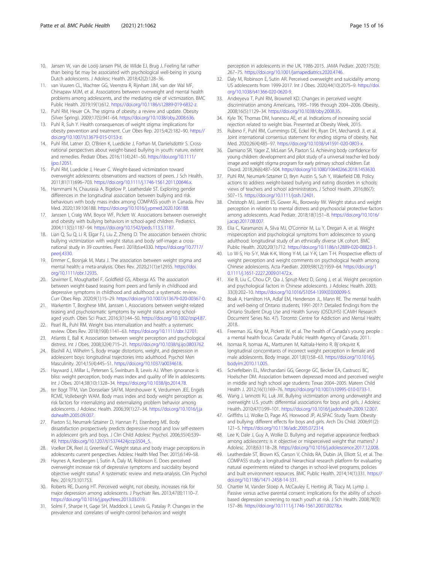- <span id="page-14-0"></span>10. Jansen W, van de Looij-Jansen PM, de Wilde EJ, Brug J. Feeling fat rather than being fat may be associated with psychological well-being in young Dutch adolescents. J Adolesc Health. 2018;42(2):128–36.
- 11. van Vuuren CL, Wachter GG, Veenstra R, Rijnhart JJM, van der Wal MF, Chinapaw MJM, et al. Associations between overweight and mental health problems among adolescents, and the mediating role of victimization. BMC Public Health. 2019;19(1):612. <https://doi.org/10.1186/s12889-019-6832-z>.
- 12. Puhl RM, Heuer CA. The stigma of obesity: a review and update. Obesity (Silver Spring). 2009;17(5):941–64. <https://doi.org/10.1038/oby.2008.636>.
- 13. Puhl R, Suh Y, Health consequences of weight stigma: implications for obesity prevention and treatment. Curr Obes Rep. 2015;4(2):182–90. [https://](https://doi.org/10.1007/s13679-015-0153-z) [doi.org/10.1007/s13679-015-0153-z.](https://doi.org/10.1007/s13679-015-0153-z)
- 14. Puhl RM, Latner JD, O'Brien K, Luedicke J, Forhan M, Danielsdottir S. Crossnational perspectives about weight-based bullying in youth: nature, extent and remedies. Pediatr Obes. 2016;11(4):241–50. [https://doi.org/10.1111/](https://doi.org/10.1111/ijpo.12051) [ijpo.12051.](https://doi.org/10.1111/ijpo.12051)
- 15. Puhl RM, Luedicke J, Heuer C. Weight-based victimization toward overweight adolescents: observations and reactions of peers. J Sch Health. 2011;81(11):696–703. <https://doi.org/10.1111/j.1746-1561.2011.00646.x>.
- 16. Hammami N, Chaurasia A, Bigelow P, Leatherdale ST. Exploring gender differences in the longitudinal association between bullying and risk behaviours with body mass index among COMPASS youth in Canada. Prev Med. 2020;139:106188. <https://doi.org/10.1016/j.ypmed.2020.106188>.
- 17. Janssen I, Craig WM, Boyce WF, Pickett W. Associations between overweight and obesity with bullying behaviors in school-aged children. Pediatrics. 2004;113(5):1187–94. <https://doi.org/10.1542/peds.113.5.1187>.
- 18. Lian Q, Su Q, Li R, Elgar FJ, Liu Z, Zheng D. The association between chronic bullying victimization with weight status and body self-image: a crossnational study in 39 countries. PeerJ. 2018;6:e4330. [https://doi.org/10.7717/](https://doi.org/10.7717/peerj.4330) [peerj.4330.](https://doi.org/10.7717/peerj.4330)
- 19. Emmer C, Bosnjak M, Mata J. The association between weight stigma and mental health: a meta-analysis. Obes Rev. 2020;21(1):e12935. [https://doi.](https://doi.org/10.1111/obr.12935) [org/10.1111/obr.12935.](https://doi.org/10.1111/obr.12935)
- 20. Szwimer E, Mougharbel F, Goldfield GS, Alberga AS. The association between weight-based teasing from peers and family in childhood and depressive symptoms in childhood and adulthood: a systematic review. Curr Obes Rep. 2020;9(1):15–29. [https://doi.org/10.1007/s13679-020-00367-0.](https://doi.org/10.1007/s13679-020-00367-0)
- 21. Warkentin T, Borghese MM, Janssen I. Associations between weight-related teasing and psychosomatic symptoms by weight status among schoolaged youth. Obes Sci Pract. 2016;3(1):44–50. <https://doi.org/10.1002/osp4.87>.
- 22. Pearl RL, Puhl RM. Weight bias internalization and health: a systematic review. Obes Rev. 2018;19(8):1141–63. <https://doi.org/10.1111/obr.12701>.
- 23. Atlantis E, Ball K. Association between weight perception and psychological distress. Int J Obes. 2008;32(4):715–21. <https://doi.org/10.1038/sj.ijo.0803762>.
- 24. Blashill AJ, Wilhelm S. Body image distortions, weight, and depression in adolescent boys: longitudinal trajectories into adulthood. Psychol Men Masculinity. 2014;15(4):445–51. [https://doi.org/10.1037/a0034618.](https://doi.org/10.1037/a0034618)
- 25. Hayward J, Millar L, Petersen S, Swinburn B, Lewis AJ. When ignorance is bliss: weight perception, body mass index and quality of life in adolescents. Int J Obes. 2014;38(10):1328–34. <https://doi.org/10.1038/ijo.2014.78>.
- 26. ter Bogt TFM, Van Dorsselaer SAFM, Monshouwer K, Verdurmen JEE, Engels RCME, Vollebergh WAM. Body mass index and body weight perception as risk factors for internalizing and externalizing problem behavior among adolescents. J Adolesc Health. 2006;39(1):27–34. [https://doi.org/10.1016/j.ja](https://doi.org/10.1016/j.jadohealth.2005.09.007) [dohealth.2005.09.007](https://doi.org/10.1016/j.jadohealth.2005.09.007).
- 27. Paxton SJ, Neumark-Sztainer D, Hannan PJ, Eisenberg ME. Body dissatisfaction prospectively predicts depressive mood and low self-esteem in adolescent girls and boys. J Clin Child Adolesc Psychol. 2006;35(4):539– 49. [https://doi.org/10.1207/s15374424jccp3504\\_5](https://doi.org/10.1207/s15374424jccp3504_5).
- 28. Voelker DK, Reel JJ, Greenleaf C. Weight status and body image perceptions in adolescents: current perspectives. Adolesc Health Med Ther. 2015;6:149–58.
- 29. Haynes A, Kersbergen I, Sutin A, Daly M, Robinson E. Does perceived overweight increase risk of depressive symptoms and suicidality beyond objective weight status? A systematic review and meta-analysis. Clin Psychol Rev. 2019;73:101753.
- 30. Roberts RE, Duong HT. Perceived weight, not obesity, increases risk for major depression among adolescents. J Psychiatr Res. 2013;47(8):1110–7. <https://doi.org/10.1016/j.jpsychires.2013.03.019>.
- 31. Solmi F, Sharpe H, Gage SH, Maddock J, Lewis G, Patalay P. Changes in the prevalence and correlates of weight-control behaviors and weight

perception in adolescents in the UK, 1986-2015. JAMA Pediatr. 2020;175(3): 267–75. <https://doi.org/10.1001/jamapediatrics.2020.4746>.

- 32. Daly M, Robinson E, Sutin AR. Perceived overweight and suicidality among US adolescents from 1999-2017. Int J Obes. 2020;44(10):2075–9. [https://doi.](https://doi.org/10.1038/s41366-020-0620-9) [org/10.1038/s41366-020-0620-9](https://doi.org/10.1038/s41366-020-0620-9).
- 33. Andreyeva T, Puhl RM, Brownell KD. Changes in perceived weight discrimination among Americans, 1995–1996 through 2004–2006. Obesity. 2008;16(5):1129–34. [https://doi.org/10.1038/oby.2008.35.](https://doi.org/10.1038/oby.2008.35)
- 34. Kyle TK, Thomas DM, Ivanescu AE, et al. Indications of increasing social rejection related to weight bias. Presented at Obesity Week, 2015.
- 35. Rubino F, Puhl RM, Cummings DE, Eckel RH, Ryan DH, Mechanick JI, et al. Joint international consensus statement for ending stigma of obesity. Nat Med. 2020;26(4):485–97. [https://doi.org/10.1038/s41591-020-0803-x.](https://doi.org/10.1038/s41591-020-0803-x)
- 36. Damiano SR, Yager Z, McLean SA, Paxton SJ. Achieving body confidence for young children: development and pilot study of a universal teacher-led body image and weight stigma program for early primary school children. Eat Disord. 2018;26(6):487–504. <https://doi.org/10.1080/10640266.2018.1453630>.
- 37. Puhl RM, Neumark-Sztainer D, Bryn Austin S, Suh Y, Wakefield DB. Policy actions to address weight-based bullying and eating disorders in schools: views of teachers and school administrators. J School Health. 2016;86(7): 507–15. [https://doi.org/10.1111/josh.12401.](https://doi.org/10.1111/josh.12401)
- 38. Christoph MJ, Jarrett ES, Gower AL, Borowsky IW. Weight status and weight perception in relation to mental distress and psychosocial protective factors among adolescents. Acad Pediatr. 2018;18(1):51–8. [https://doi.org/10.1016/](https://doi.org/10.1016/j.acap.2017.08.007) [j.acap.2017.08.007](https://doi.org/10.1016/j.acap.2017.08.007).
- 39. Elia C, Karamanos A, Silva MJ, O'Connor M, Lu Y, Dregan A, et al. Weight misperception and psychological symptoms from adolescence to young adulthood: longitudinal study of an ethnically diverse UK cohort. BMC Public Health. 2020;20(1):712. <https://doi.org/10.1186/s12889-020-08823-1>.
- 40. Lo W-S, Ho S-Y, Mak K-K, Wong Y-M, Lai Y-K, Lam T-H. Prospective effects of weight perception and weight comments on psychological health among Chinese adolescents. Acta Paediatr. 2009;98(12):1959–64. [https://doi.org/1](https://doi.org/10.1111/j.1651-2227.2009.01472.x) [0.1111/j.1651-2227.2009.01472.x.](https://doi.org/10.1111/j.1651-2227.2009.01472.x)
- 41. Xie B, Liu C, Chou CP, Qia J, Sprujt-Metz D, Gong J, et al. Weight perception and psychological factors in Chinese adolescents. J Adolesc Health. 2003; 33(3):202–10. [https://doi.org/10.1016/S1054-139X\(03\)00099-5](https://doi.org/10.1016/S1054-139X(03)00099-5).
- 42. Boak A, Hamilton HA, Adlaf EM, Henderson JL, Mann RE. The mental health and well-being of Ontario students, 1991-2017: Detailed findings from the Ontario Student Drug Use and Health Survey (OSDUHS) (CAMH Research Document Series No. 47). Toronto: Centre for Addiction and Mental Health; 2018.
- 43. Freeman JG, King M, Pickett W, et al. The health of Canada's young people : a mental health focus. Canada: Public Health Agency of Canada; 2011.
- 44. Isomaa R, Isomaa AL, Marttunen M, Kaltiala-Heino R. Bj¨orkqvist K. longitudinal concomitants of incorrect weight perception in female and male adolescents. Body Image. 2011;8(1):58–63. [https://doi.org/10.1016/j.](https://doi.org/10.1016/j.bodyim.2010.11.005) [bodyim.2010.11.005.](https://doi.org/10.1016/j.bodyim.2010.11.005)
- 45. Schiefelbein EL, Mirchandani GG, George GC, Becker EA, Castrucci BC, Hoelscher DM. Association between depressed mood and perceived weight in middle and high school age students: Texas 2004–2005. Matern Child Health J. 2012;16(1):169–76. <https://doi.org/10.1007/s10995-010-0733-1>.
- 46. Wang J, Iannotti RJ, Luk JW. Bullying victimization among underweight and overweight U.S. youth: differential associations for boys and girls. J Adolesc Health. 2010;47(1):99–101. [https://doi.org/10.1016/j.jadohealth.2009.12.007.](https://doi.org/10.1016/j.jadohealth.2009.12.007)
- 47. Griffiths LJ, Wolke D, Page AS, Horwood JP, ALSPAC Study Team. Obesity and bullying: different effects for boys and girls. Arch Dis Child. 2006;91(2): 121–5. <https://doi.org/10.1136/adc.2005.072314>.
- 48. Lee K, Dale J, Guy A, Wolke D. Bullying and negative appearance feedback among adolescents: is it objective or misperceived weight that matters? J Adolesc. 2018;63:118–28. [https://doi.org/10.1016/j.adolescence.2017.12.008.](https://doi.org/10.1016/j.adolescence.2017.12.008)
- 49. Leatherdale ST, Brown KS, Carson V, Childs RA, Dubin JA, Elliott SJ, et al. The COMPASS study: a longitudinal hierarchical research platform for evaluating natural experiments related to changes in school-level programs, policies and built environment resources. BMC Public Health. 2014;14(1):331. [https://](https://doi.org/10.1186/1471-2458-14-331) [doi.org/10.1186/1471-2458-14-331.](https://doi.org/10.1186/1471-2458-14-331)
- 50. Chartier M, Vander Stoep A, McCauley E, Herting JR, Tracy M, Lymp J. Passive versus active parental consent: implications for the ability of schoolbased depression screening to reach youth at risk. J Sch Health. 2008;78(3): 157–86. <https://doi.org/10.1111/j.1746-1561.2007.00278.x>.